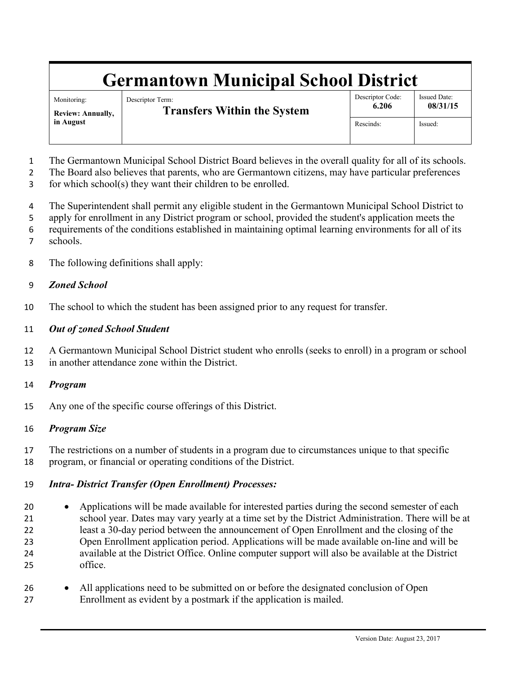# **Germantown Municipal School District**

Monitoring: **Review: Annually, in August**

Descriptor Term: **Transfers Within the System** Descriptor Code: **6.206**

Issued Date: **08/31/15**

Rescinds: Issued:

The Germantown Municipal School District Board believes in the overall quality for all of its schools.

The Board also believes that parents, who are Germantown citizens, may have particular preferences

for which school(s) they want their children to be enrolled.

The Superintendent shall permit any eligible student in the Germantown Municipal School District to

apply for enrollment in any District program or school, provided the student's application meets the

- requirements of the conditions established in maintaining optimal learning environments for all of its
- schools.
- The following definitions shall apply:

### *Zoned School*

The school to which the student has been assigned prior to any request for transfer.

### *Out of zoned School Student*

 A Germantown Municipal School District student who enrolls (seeks to enroll) in a program or school in another attendance zone within the District.

#### *Program*

Any one of the specific course offerings of this District.

## *Program Size*

 The restrictions on a number of students in a program due to circumstances unique to that specific program, or financial or operating conditions of the District.

## *Intra- District Transfer (Open Enrollment) Processes:*

- Applications will be made available for interested parties during the second semester of each school year. Dates may vary yearly at a time set by the District Administration. There will be at least a 30-day period between the announcement of Open Enrollment and the closing of the Open Enrollment application period. Applications will be made available on-line and will be available at the District Office. Online computer support will also be available at the District office.
- All applications need to be submitted on or before the designated conclusion of Open Enrollment as evident by a postmark if the application is mailed.